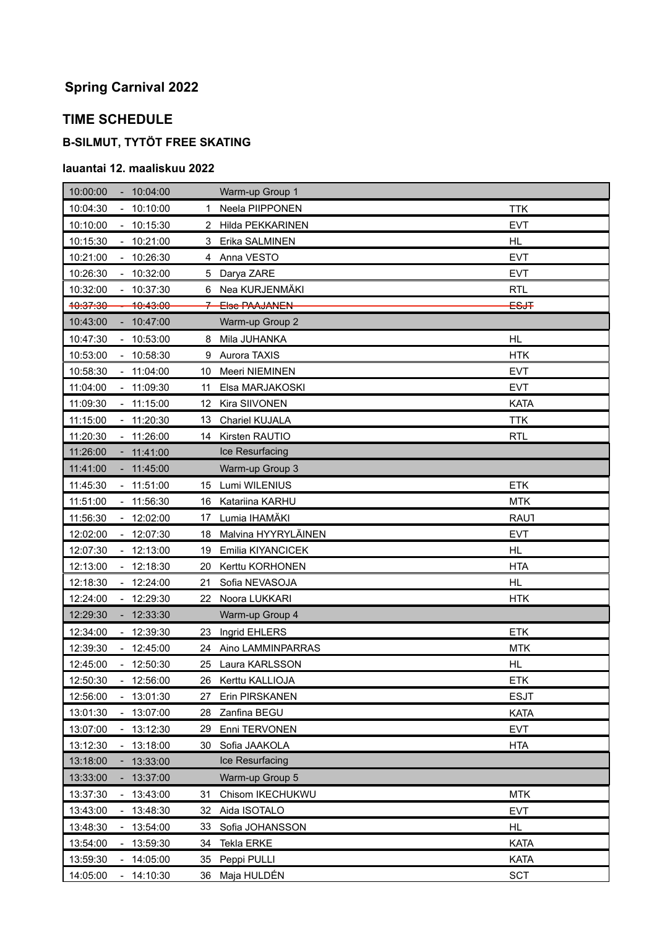# **Spring Carnival 2022**

## **TIME SCHEDULE**

### **B-SILMUT, TYTÖT FREE SKATING**

#### **lauantai 12. maaliskuu 2022**

| 10:00:00<br>$-10:04:00$                | Warm-up Group 1              |             |
|----------------------------------------|------------------------------|-------------|
| $-10:10:00$<br>10:04:30                | Neela PIIPPONEN<br>1.        | <b>TTK</b>  |
| 10:10:00<br>10:15:30                   | <b>Hilda PEKKARINEN</b><br>2 | <b>EVT</b>  |
| 10:15:30<br>$-10:21:00$                | Erika SALMINEN<br>3          | <b>HL</b>   |
| 10:21:00<br>$-10:26:30$                | Anna VESTO<br>4              | <b>EVT</b>  |
| 10:26:30<br>$-10:32:00$                | Darya ZARE<br>5              | <b>EVT</b>  |
| 10:32:00<br>10:37:30                   | 6 Nea KURJENMÄKI             | <b>RTL</b>  |
| 10:37:30<br><del>10:43:00</del>        | 7 Else PAAJANEN              | <b>ESJT</b> |
| 10:43:00<br>10:47:00                   | Warm-up Group 2              |             |
| 10:47:30<br>$-10:53:00$                | Mila JUHANKA<br>8            | HL          |
| $-10:58:30$<br>10:53:00                | Aurora TAXIS<br>9            | <b>HTK</b>  |
| 10:58:30<br>$-11:04:00$                | Meeri NIEMINEN<br>10         | <b>EVT</b>  |
| 11:04:00<br>$-11:09:30$                | Elsa MARJAKOSKI<br>11        | <b>EVT</b>  |
| 11:09:30<br>$-11:15:00$                | Kira SIIVONEN<br>12          | <b>KATA</b> |
| 11:15:00<br>$-11:20:30$                | Chariel KUJALA<br>13         | <b>TTK</b>  |
| 11:20:30<br>11:26:00                   | Kirsten RAUTIO<br>14         | <b>RTL</b>  |
| 11:26:00<br>$-11:41:00$                | Ice Resurfacing              |             |
| 11:41:00<br>$-11:45:00$                | Warm-up Group 3              |             |
| 11:45:30<br>$-11:51:00$                | Lumi WILENIUS<br>15          | <b>ETK</b>  |
| 11:56:30<br>11:51:00                   | Katariina KARHU<br>16        | <b>MTK</b>  |
| $-12:02:00$<br>11:56:30                | Lumia IHAMÄKI<br>17          | <b>RAU1</b> |
| $-12:07:30$<br>12:02:00                | Malvina HYYRYLÄINEN<br>18    | <b>EVT</b>  |
| 12:07:30<br>$-12:13:00$                | Emilia KIYANCICEK<br>19      | <b>HL</b>   |
| 12:13:00<br>$-12:18:30$                | Kerttu KORHONEN<br>20        | <b>HTA</b>  |
| 12:18:30<br>12:24:00                   | Sofia NEVASOJA<br>21         | HL          |
| 12:24:00<br>$-12:29:30$                | Noora LUKKARI<br>22          | <b>HTK</b>  |
| 12:29:30<br>$-12:33:30$                | Warm-up Group 4              |             |
| $-12:39:30$<br>12:34:00                | Ingrid EHLERS<br>23          | <b>ETK</b>  |
| 12:39:30<br>$-12:45:00$                | 24 Aino LAMMINPARRAS         | <b>MTK</b>  |
| 12:45:00<br>$-12:50:30$                | Laura KARLSSON<br>25         | HL          |
| 12:50:30<br>12:56:00                   | 26<br>Kerttu KALLIOJA        | ETK         |
| 13:01:30<br>12:56:00                   | Erin PIRSKANEN<br>27         | <b>ESJT</b> |
| 13:01:30<br>13:07:00<br>$\blacksquare$ | Zanfina BEGU<br>28           | <b>KATA</b> |
| 13:07:00<br>13:12:30                   | Enni TERVONEN<br>29.         | <b>EVT</b>  |
| 13:12:30<br>13:18:00                   | Sofia JAAKOLA<br>30          | <b>HTA</b>  |
| 13:18:00<br>13:33:00                   | Ice Resurfacing              |             |
| 13:33:00<br>13:37:00                   | Warm-up Group 5              |             |
| 13:37:30<br>13:43:00                   | Chisom IKECHUKWU<br>31       | <b>MTK</b>  |
| 13:43:00<br>13:48:30                   | Aida ISOTALO<br>32           | <b>EVT</b>  |
| 13:48:30<br>13:54:00                   | Sofia JOHANSSON<br>33        | <b>HL</b>   |
| $-13:59:30$<br>13:54:00                | Tekla ERKE<br>34             | <b>KATA</b> |
| 13:59:30<br>$-14:05:00$                | Peppi PULLI<br>35            | <b>KATA</b> |
| 14:05:00<br>14:10:30<br>$\blacksquare$ | 36<br>Maja HULDÉN            | <b>SCT</b>  |